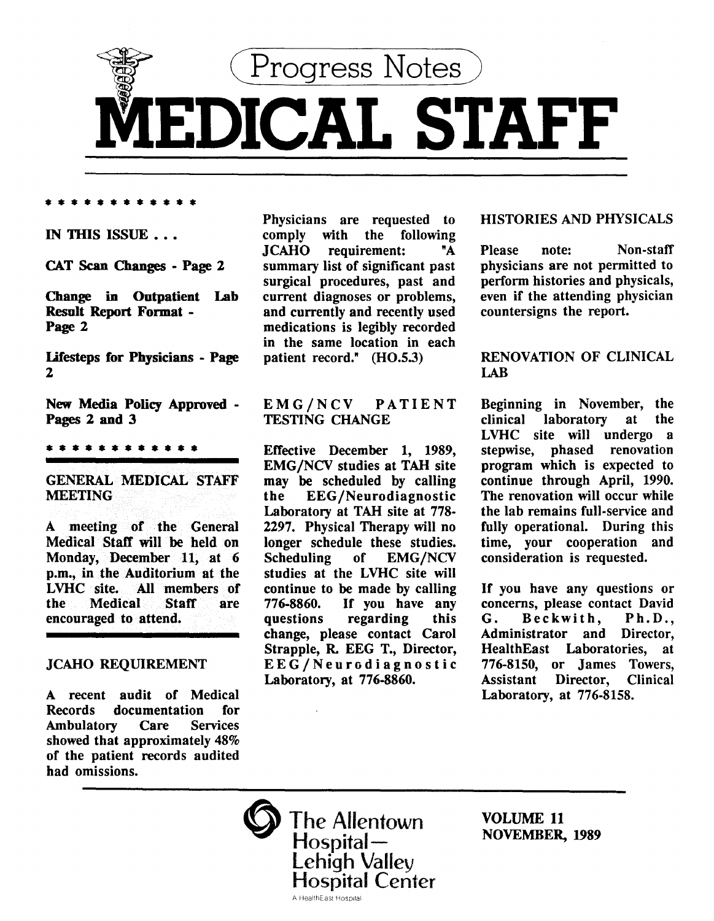

• • • • • • • • • • • •

# IN THIS ISSUE . . .

CAT Scan Changes- Page 2

Change in Outpatient Lab Result Report Format - Page 2

Lifesteps for Physicians - Page 2

New Media Policy Approved - Pages 2 and 3

#### • • • • • • • • • • • •

# GENERAL MEDICAL STAFF **MEETING**

A meeting of the General Medical Staff will be held on Monday, December 11, at 6 p.m., in the Auditorium at the LVHC site. All members of the Medical Staff are encouraged to attend.

# JCAHO REQUIREMENT

A recent audit of Medical Records documentation for<br>Ambulatory Care Services Ambulatory Care showed that approximately 48% of the patient records audited had omissions.

**Physicians are requested to comply with the following** following JCAHO requirement: "A summary list of significant past surgical procedures, past and current diagnoses or problems, and currently and recently used medications is legibly recorded in the same location in each patient record." (H0.5.3)

### EMG/NCV PATIENT TESTING CHANGE

Effective December 1, 1989, EMG/NCV studies at TAH site may be scheduled by calling<br>the EEG/Neurodiagnostic EEG/Neurodiagnostic Laboratory at TAH site at 778- 2297. Physical Therapy will no longer schedule these studies.<br>Scheduling of EMG/NCV of EMG/NCV studies at the LVHC site will continue to be made by calling 776-8860. If you have any regarding change, please contact Carol Strapple, R. EEG T., Director, EEG/Neurodiagnostic Laboratory, at 776-8860.

# HISTORIES AND PHYSICALS

Please note: Non-staff physicians are not permitted to perform histories and physicals, even if the attending physician countersigns the report.

# RENOVATION OF CLINICAL LAB

Beginning in November, the<br>clinical laboratory at the clinical laboratory at LVHC site will undergo a stepwise, phased renovation program which is expected to continue through April, 1990. The renovation will occur while the lab remains full-service and fully operational. During this time, your cooperation and consideration is requested.

If you have any questions or concerns, please contact David G. Beckwith, Ph.D., Administrator and Director, HealthEast Laboratories, at 776-8150, or James Towers, Assistant Director, Clinical Laboratory, at 776-8158.

The Allentown  $\operatorname{\mathsf{Hospital}}{\overline{\phantom{\rule{1.5cm}{0.5cm}\smash{\overline{\phantom{1}}}}}}$ Lehigh Valley<br>Hospital Center A Health East Hospital

VOLUME 11 NOVEMBER, 1989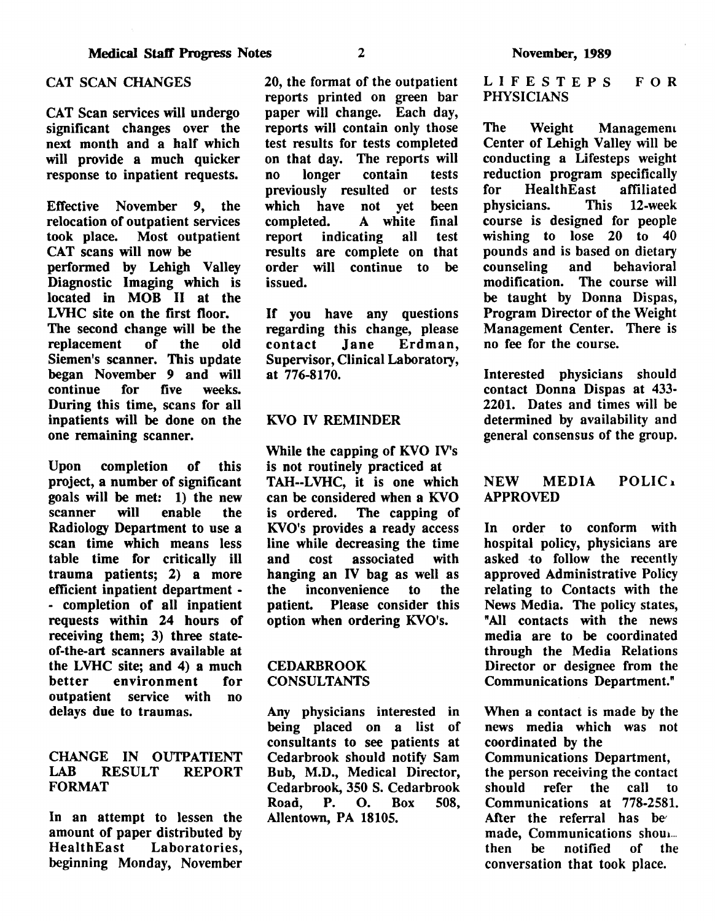# CAT SCAN CHANGES

CAT Scan services will undergo significant changes over the next month and a half which will provide a much quicker response to inpatient requests.

Effective November 9, the relocation of outpatient services<br>took place. Most outpatient Most outpatient CAT scans will now be performed by Lehigh Valley Diagnostic Imaging which is located in MOB II at the LVHC site on the first floor. The second change will be the<br>replacement of the old replacement of the old Siemen's scanner. This update began November 9 and will continue for five weeks. During this time, scans for all inpatients will be done on the one remaining scanner.

Upon completion of this project, a number of significant goals will be met: 1) the new scanner will enable the Radiology Department to use a scan time which means less table time for critically ill trauma patients; 2) a more efficient inpatient department - - completion of all inpatient requests within 24 hours of receiving them; 3) three stateof-the-art scanners available at the LVHC site; and 4) a much better environment for outpatient service with no delays due to traumas.

# CHANGE IN OUTPATIENT LAB RESULT REPORT FORMAT

In an attempt to lessen the amount of paper distributed by HealthEast Laboratories, beginning Monday, November 20, the format of the outpatient reports printed on green bar paper will change. Each day, reports will contain only those test results for tests completed on that day. The reports will<br>no longer contain tests no longer previously resulted or tests<br>which have not vet been which have not yet<br>completed. A white A white final report indicating all test results are complete on that order will continue to be issued.

If you have any questions regarding this change, please<br>contact Jane Erdman, Erdman, Supervisor, Clinical Laboratory, at 776-8170.

### KVO IV REMINDER

While the capping of KVO IV's is not routinely practiced at TAH--LVHC, it is one which can be considered when a KVO is ordered. The capping of KVO's provides a ready access line while decreasing the time and cost associated with hanging an IV bag as well as the inconvenience to the patient. Please consider this option when ordering KVO's.

### CEDARBROOK CONSULTANTS

Any physicians interested in being placed on a list of consultants to see patients at Cedarbrook should notify Sam Bub, M.D., Medical Director, Cedarbrook, 350 S. Cedarbrook Road, P. 0. Box 508, Allentown, PA 18105.

LIFESTEPS PHYSICIANS FOR

The Weight Managemem Center of Lehigh Valley will be conducting a Lifesteps weight reduction program specifically<br>for HealthEast affiliated HealthEast affiliated<br>
ians. This 12-week physicians. course is designed for people wishing to lose 20 to 40 pounds and is based on dietary<br>counseling and behavioral counseling modification. The course will be taught by Donna Dispas, Program Director of the Weight Management Center. There is no fee for the course.

Interested physicians should contact Donna Dispas at 433- 2201. Dates and times will be determined by availability and general consensus of the group.

# NEW MEDIA POLIC<sub>1</sub> APPROVED

In order to conform with hospital policy, physicians are asked to follow the recently approved Administrative Policy relating to Contacts with the News Media. The policy states, "All contacts with the news media are to be coordinated through the Media Relations Director or designee from the Communications Department."

When a contact is made by the news media which was not coordinated by the Communications Department, the person receiving the contact should refer the call to Communications at 778-2581. After the referral has be' made, Communications shou..... then be notified of the conversation that took place.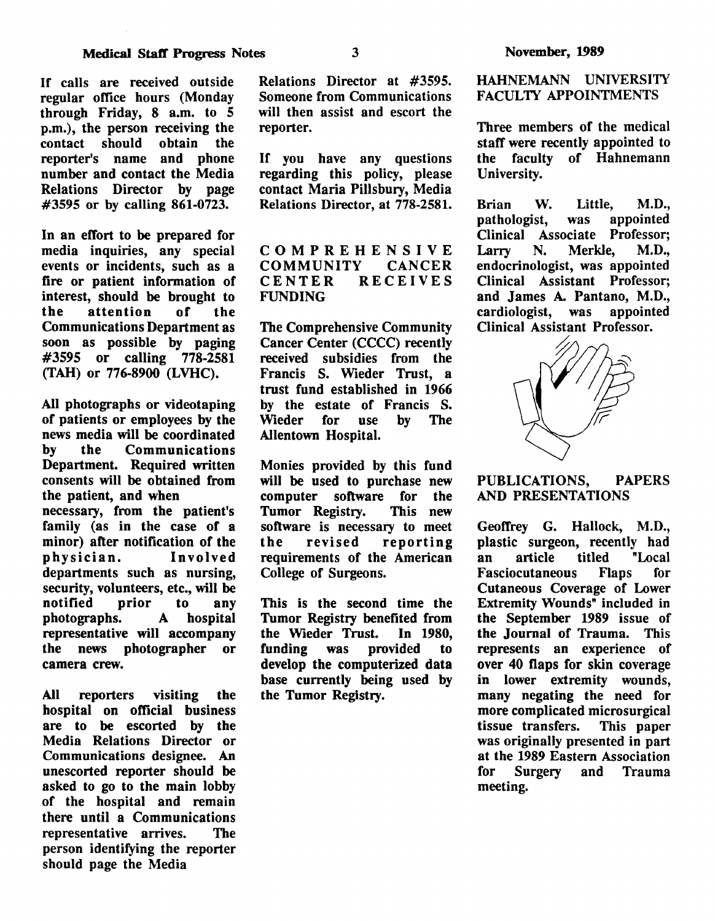If calls are received outside regular office hours (Monday through Friday, 8 a.m. to 5 p.m.), the person receiving the contact should obtain the should reporter's name and phone number and contact the Media Relations Director by page #3595 or by calling 861-0723.

In an effort to be prepared for media inquiries, any special events or incidents, such as a fire or patient information of interest, should be brought to<br>the attention of the attention of the Communications Department as soon as possible by paging #3595 or calling 778-2581 (TAH) or 776-8900 (LVHC).

All photographs or videotaping of patients or employees by the news media will be coordinated<br>by the Communications **Communications** Department. Required written consents will be obtained from the patient, and when necessary, from the patient's family (as in the case of a minor) after notification of the physician. Involved departments such as nursing, security, volunteers, etc., will be<br>notified prior to any notified prior to any photographs. A hospital representative will accompany the news photographer or camera crew.

All reporters visiting the hospital on official business are to be escorted by the Media Relations Director or Communications designee. An unescorted reporter should be asked to go to the main lobby of the hospital and remain there until a Communications representative arrives. The person identifying the reporter should page the Media

Relations Director at #3595. Someone from Communications will then assist and escort the reporter.

If you have any questions regarding this policy, please contact Maria Pillsbury, Media Relations Director, at 778-2581.

# COMPREHENSIVE<br>COMMUNITY CANCER COMMUNITY<br>CENTER R **RECEIVES** FUNDING

The Comprehensive Community Cancer Center (CCCC) recently received subsidies from the Francis S. Wieder Trust, a trust fund established in 1966 by the estate of Francis S.<br>Wieder for use by The Wieder **is** Allentown Hospital.

Monies provided by this fund will be used to purchase new computer software for the<br>Tumor Registry. This new Tumor Registry. software is necessary to meet the revised reporting requirements of the American College of Surgeons.

This is the second time the Tumor Registry benefited from the Wieder Trust. In 1980,<br>funding was provided to funding was provided to develop the computerized data base currently being used by the Tumor Registry.

HAHNEMANN UNIVERSITY FACULTY APPOINTMENTS

Three members of the medical staff were recently appointed to the faculty of Hahnemann University.

Brian W. Little, M.D.,<br>pathologist, was appointed pathologist, Clinical Associate Professor;<br>Larry N. Merkle, M.D., Merkle. endocrinologist, was appointed Clinical Assistant Professor; and James A. Pantano, M.D., cardiologist. was appointed cardiologist, was Clinical Assistant Professor.



# PUBLICATIONS, PAPERS AND PRESENTATIONS

Geoffrey G. Hallock, M.D., plastic surgeon, recently had<br>an article titled "Local an article Fasciocutaneous Flaps for Cutaneous Coverage of Lower Extremity Wounds" included in the September 1989 issue of the Journal of Trauma. This represents an experience of over 40 flaps for skin coverage in lower extremity wounds, many negating the need for more complicated microsurgical<br>tissue transfers. This paper tissue transfers. was originally presented in part at the 1989 Eastern Association for Surgery and Trauma meeting.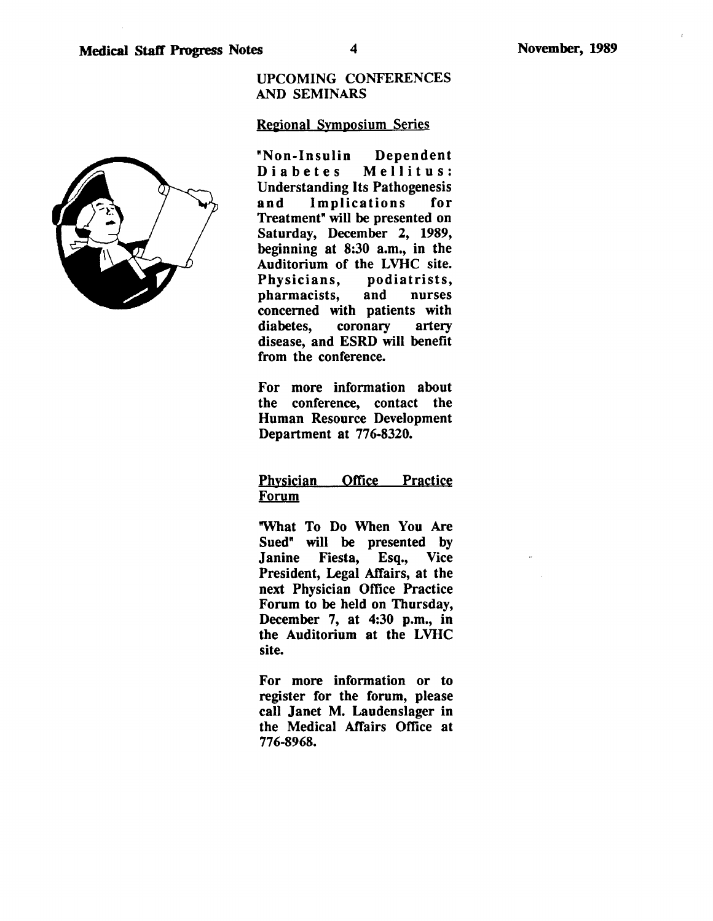$\mathbf{r}$ 

# UPCOMING CONFERENCES AND SEMINARS

# Regional Symposium Series

"Non-Insulin Dependent Diabetes Mellitus: Understanding Its Pathogenesis and Implications for Treatment" will be presented on Saturday, December 2, 1989, beginning at 8:30 a.m., in the Auditorium of the LVHC site. Physicians, podiatrists, pharmacists, and nurses concerned with patients with diabetes, coronary artery disease, and ESRD will benefit from the conference.

For more information about the conference, contact the Human Resource Development Department at 776-8320.

# Physician Office Practice Forum

"What To Do When You Are Sued" will be presented by Janine Fiesta, Esq., Vice President, Legal Affairs, at the next Physician Office Practice Forum to be held on Thursday, December 7, at 4:30 p.m., in the Auditorium at the LVHC site.

For more information or to register for the forum, please call Janet M. Laudenslager in the Medical Affairs Office at 776-8968.